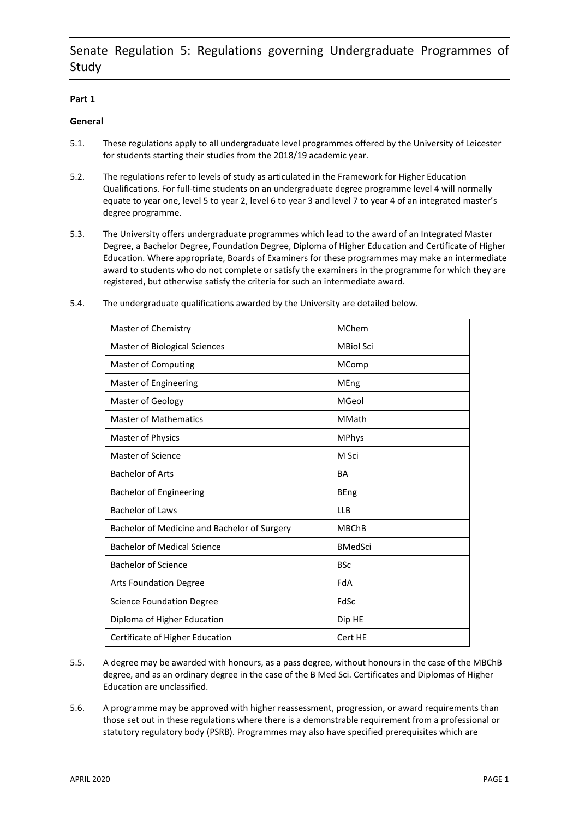# **Part 1**

# **General**

- 5.1. These regulations apply to all undergraduate level programmes offered by the University of Leicester for students starting their studies from the 2018/19 academic year.
- 5.2. The regulations refer to levels of study as articulated in the Framework for Higher Education Qualifications. For full-time students on an undergraduate degree programme level 4 will normally equate to year one, level 5 to year 2, level 6 to year 3 and level 7 to year 4 of an integrated master's degree programme.
- 5.3. The University offers undergraduate programmes which lead to the award of an Integrated Master Degree, a Bachelor Degree, Foundation Degree, Diploma of Higher Education and Certificate of Higher Education. Where appropriate, Boards of Examiners for these programmes may make an intermediate award to students who do not complete or satisfy the examiners in the programme for which they are registered, but otherwise satisfy the criteria for such an intermediate award.
- 5.4. The undergraduate qualifications awarded by the University are detailed below.

| Master of Chemistry                          | MChem            |
|----------------------------------------------|------------------|
| Master of Biological Sciences                | <b>MBiol Sci</b> |
| Master of Computing                          | MComp            |
| Master of Engineering                        | MEng             |
| Master of Geology                            | MGeol            |
| <b>Master of Mathematics</b>                 | MMath            |
| <b>Master of Physics</b>                     | <b>MPhys</b>     |
| <b>Master of Science</b>                     | M Sci            |
| <b>Bachelor of Arts</b>                      | <b>BA</b>        |
| <b>Bachelor of Engineering</b>               | <b>BEng</b>      |
| <b>Bachelor of Laws</b>                      | <b>LLB</b>       |
| Bachelor of Medicine and Bachelor of Surgery | <b>MBChB</b>     |
| <b>Bachelor of Medical Science</b>           | <b>BMedSci</b>   |
| <b>Bachelor of Science</b>                   | <b>BSc</b>       |
| <b>Arts Foundation Degree</b>                | FdA              |
| Science Foundation Degree                    | FdSc             |
| Diploma of Higher Education                  | Dip HE           |
| Certificate of Higher Education              | Cert HE          |
|                                              |                  |

- 5.5. A degree may be awarded with honours, as a pass degree, without honours in the case of the MBChB degree, and as an ordinary degree in the case of the B Med Sci. Certificates and Diplomas of Higher Education are unclassified.
- 5.6. A programme may be approved with higher reassessment, progression, or award requirements than those set out in these regulations where there is a demonstrable requirement from a professional or statutory regulatory body (PSRB). Programmes may also have specified prerequisites which are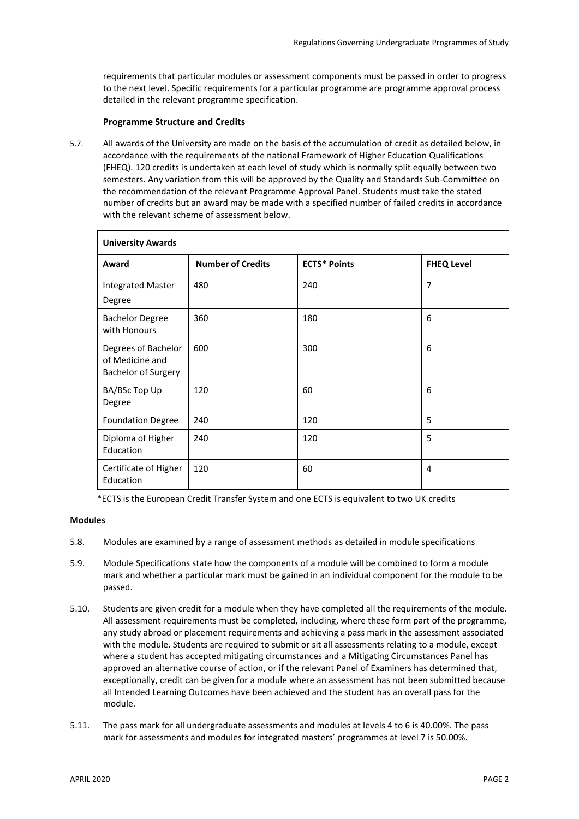requirements that particular modules or assessment components must be passed in order to progress to the next level. Specific requirements for a particular programme are programme approval process detailed in the relevant programme specification.

## **Programme Structure and Credits**

5.7. All awards of the University are made on the basis of the accumulation of credit as detailed below, in accordance with the requirements of the national Framework of Higher Education Qualifications (FHEQ). 120 credits is undertaken at each level of study which is normally split equally between two semesters. Any variation from this will be approved by the Quality and Standards Sub-Committee on the recommendation of the relevant Programme Approval Panel. Students must take the stated number of credits but an award may be made with a specified number of failed credits in accordance with the relevant scheme of assessment below.

| <b>University Awards</b>                                      |                          |                     |                   |
|---------------------------------------------------------------|--------------------------|---------------------|-------------------|
| Award                                                         | <b>Number of Credits</b> | <b>ECTS*</b> Points | <b>FHEQ Level</b> |
| <b>Integrated Master</b><br>Degree                            | 480                      | 240                 | 7                 |
| <b>Bachelor Degree</b><br>with Honours                        | 360                      | 180                 | 6                 |
| Degrees of Bachelor<br>of Medicine and<br>Bachelor of Surgery | 600                      | 300                 | 6                 |
| BA/BSc Top Up<br>Degree                                       | 120                      | 60                  | 6                 |
| <b>Foundation Degree</b>                                      | 240                      | 120                 | 5                 |
| Diploma of Higher<br>Education                                | 240                      | 120                 | 5                 |
| Certificate of Higher<br>Education                            | 120                      | 60                  | 4                 |

\*ECTS is the European Credit Transfer System and one ECTS is equivalent to two UK credits

## **Modules**

- 5.8. Modules are examined by a range of assessment methods as detailed in module specifications
- 5.9. Module Specifications state how the components of a module will be combined to form a module mark and whether a particular mark must be gained in an individual component for the module to be passed.
- 5.10. Students are given credit for a module when they have completed all the requirements of the module. All assessment requirements must be completed, including, where these form part of the programme, any study abroad or placement requirements and achieving a pass mark in the assessment associated with the module. Students are required to submit or sit all assessments relating to a module, except where a student has accepted mitigating circumstances and a Mitigating Circumstances Panel has approved an alternative course of action, or if the relevant Panel of Examiners has determined that, exceptionally, credit can be given for a module where an assessment has not been submitted because all Intended Learning Outcomes have been achieved and the student has an overall pass for the module.
- 5.11. The pass mark for all undergraduate assessments and modules at levels 4 to 6 is 40.00%. The pass mark for assessments and modules for integrated masters' programmes at level 7 is 50.00%.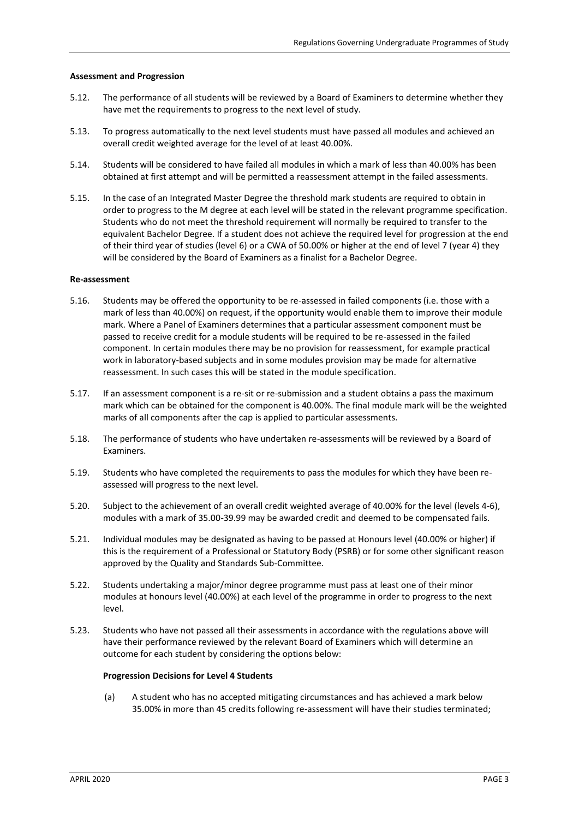### **Assessment and Progression**

- 5.12. The performance of all students will be reviewed by a Board of Examiners to determine whether they have met the requirements to progress to the next level of study.
- 5.13. To progress automatically to the next level students must have passed all modules and achieved an overall credit weighted average for the level of at least 40.00%.
- 5.14. Students will be considered to have failed all modules in which a mark of less than 40.00% has been obtained at first attempt and will be permitted a reassessment attempt in the failed assessments.
- 5.15. In the case of an Integrated Master Degree the threshold mark students are required to obtain in order to progress to the M degree at each level will be stated in the relevant programme specification. Students who do not meet the threshold requirement will normally be required to transfer to the equivalent Bachelor Degree. If a student does not achieve the required level for progression at the end of their third year of studies (level 6) or a CWA of 50.00% or higher at the end of level 7 (year 4) they will be considered by the Board of Examiners as a finalist for a Bachelor Degree.

### **Re-assessment**

- 5.16. Students may be offered the opportunity to be re-assessed in failed components (i.e. those with a mark of less than 40.00%) on request, if the opportunity would enable them to improve their module mark. Where a Panel of Examiners determines that a particular assessment component must be passed to receive credit for a module students will be required to be re-assessed in the failed component. In certain modules there may be no provision for reassessment, for example practical work in laboratory-based subjects and in some modules provision may be made for alternative reassessment. In such cases this will be stated in the module specification.
- 5.17. If an assessment component is a re-sit or re-submission and a student obtains a pass the maximum mark which can be obtained for the component is 40.00%. The final module mark will be the weighted marks of all components after the cap is applied to particular assessments.
- 5.18. The performance of students who have undertaken re-assessments will be reviewed by a Board of Examiners.
- 5.19. Students who have completed the requirements to pass the modules for which they have been reassessed will progress to the next level.
- 5.20. Subject to the achievement of an overall credit weighted average of 40.00% for the level (levels 4-6), modules with a mark of 35.00-39.99 may be awarded credit and deemed to be compensated fails.
- 5.21. Individual modules may be designated as having to be passed at Honours level (40.00% or higher) if this is the requirement of a Professional or Statutory Body (PSRB) or for some other significant reason approved by the Quality and Standards Sub-Committee.
- 5.22. Students undertaking a major/minor degree programme must pass at least one of their minor modules at honours level (40.00%) at each level of the programme in order to progress to the next level.
- 5.23. Students who have not passed all their assessments in accordance with the regulations above will have their performance reviewed by the relevant Board of Examiners which will determine an outcome for each student by considering the options below:

#### **Progression Decisions for Level 4 Students**

(a) A student who has no accepted mitigating circumstances and has achieved a mark below 35.00% in more than 45 credits following re-assessment will have their studies terminated;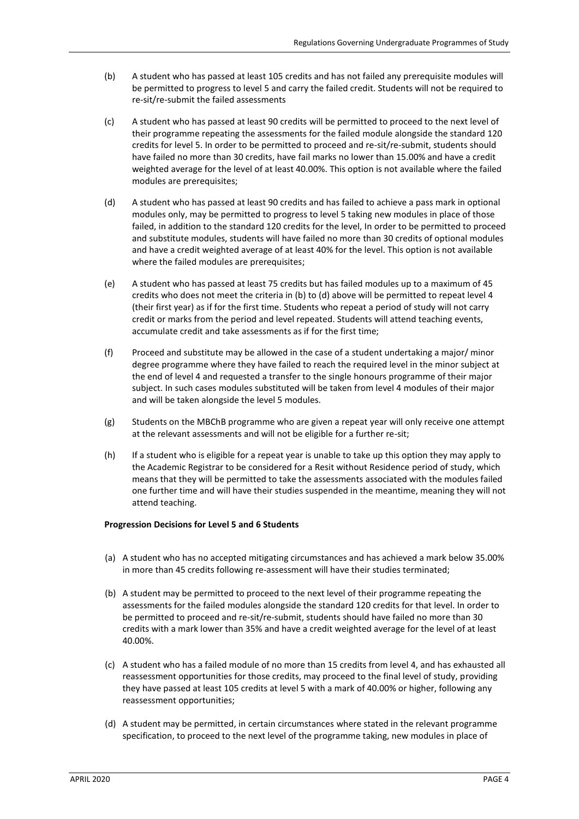- (b) A student who has passed at least 105 credits and has not failed any prerequisite modules will be permitted to progress to level 5 and carry the failed credit. Students will not be required to re-sit/re-submit the failed assessments
- (c) A student who has passed at least 90 credits will be permitted to proceed to the next level of their programme repeating the assessments for the failed module alongside the standard 120 credits for level 5. In order to be permitted to proceed and re-sit/re-submit, students should have failed no more than 30 credits, have fail marks no lower than 15.00% and have a credit weighted average for the level of at least 40.00%. This option is not available where the failed modules are prerequisites;
- (d) A student who has passed at least 90 credits and has failed to achieve a pass mark in optional modules only, may be permitted to progress to level 5 taking new modules in place of those failed, in addition to the standard 120 credits for the level, In order to be permitted to proceed and substitute modules, students will have failed no more than 30 credits of optional modules and have a credit weighted average of at least 40% for the level. This option is not available where the failed modules are prerequisites;
- (e) A student who has passed at least 75 credits but has failed modules up to a maximum of 45 credits who does not meet the criteria in (b) to (d) above will be permitted to repeat level 4 (their first year) as if for the first time. Students who repeat a period of study will not carry credit or marks from the period and level repeated. Students will attend teaching events, accumulate credit and take assessments as if for the first time;
- (f) Proceed and substitute may be allowed in the case of a student undertaking a major/ minor degree programme where they have failed to reach the required level in the minor subject at the end of level 4 and requested a transfer to the single honours programme of their major subject. In such cases modules substituted will be taken from level 4 modules of their major and will be taken alongside the level 5 modules.
- (g) Students on the MBChB programme who are given a repeat year will only receive one attempt at the relevant assessments and will not be eligible for a further re-sit;
- (h) If a student who is eligible for a repeat year is unable to take up this option they may apply to the Academic Registrar to be considered for a Resit without Residence period of study, which means that they will be permitted to take the assessments associated with the modules failed one further time and will have their studies suspended in the meantime, meaning they will not attend teaching.

## **Progression Decisions for Level 5 and 6 Students**

- (a) A student who has no accepted mitigating circumstances and has achieved a mark below 35.00% in more than 45 credits following re-assessment will have their studies terminated;
- (b) A student may be permitted to proceed to the next level of their programme repeating the assessments for the failed modules alongside the standard 120 credits for that level. In order to be permitted to proceed and re-sit/re-submit, students should have failed no more than 30 credits with a mark lower than 35% and have a credit weighted average for the level of at least 40.00%.
- (c) A student who has a failed module of no more than 15 credits from level 4, and has exhausted all reassessment opportunities for those credits, may proceed to the final level of study, providing they have passed at least 105 credits at level 5 with a mark of 40.00% or higher, following any reassessment opportunities;
- (d) A student may be permitted, in certain circumstances where stated in the relevant programme specification, to proceed to the next level of the programme taking, new modules in place of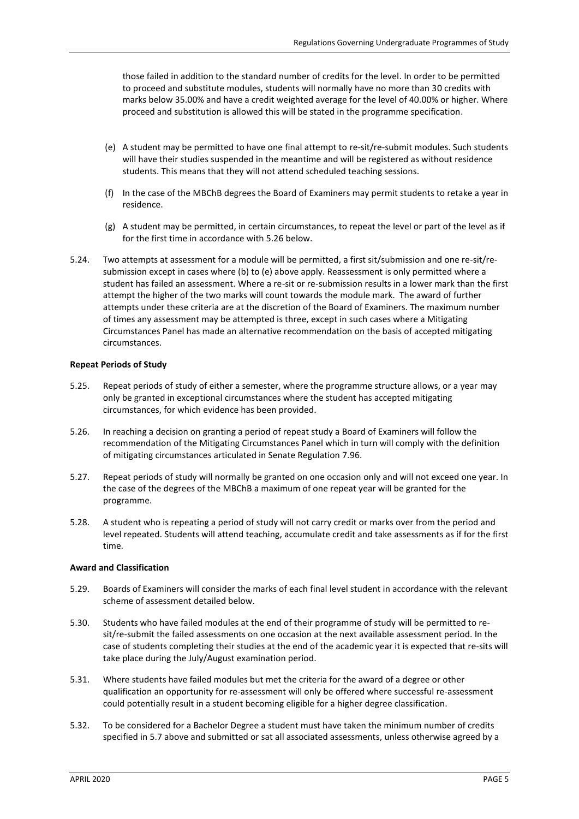those failed in addition to the standard number of credits for the level. In order to be permitted to proceed and substitute modules, students will normally have no more than 30 credits with marks below 35.00% and have a credit weighted average for the level of 40.00% or higher. Where proceed and substitution is allowed this will be stated in the programme specification.

- (e) A student may be permitted to have one final attempt to re-sit/re-submit modules. Such students will have their studies suspended in the meantime and will be registered as without residence students. This means that they will not attend scheduled teaching sessions.
- (f) In the case of the MBChB degrees the Board of Examiners may permit students to retake a year in residence.
- (g) A student may be permitted, in certain circumstances, to repeat the level or part of the level as if for the first time in accordance with 5.26 below.
- 5.24. Two attempts at assessment for a module will be permitted, a first sit/submission and one re-sit/resubmission except in cases where (b) to (e) above apply. Reassessment is only permitted where a student has failed an assessment. Where a re-sit or re-submission results in a lower mark than the first attempt the higher of the two marks will count towards the module mark. The award of further attempts under these criteria are at the discretion of the Board of Examiners. The maximum number of times any assessment may be attempted is three, except in such cases where a Mitigating Circumstances Panel has made an alternative recommendation on the basis of accepted mitigating circumstances.

### **Repeat Periods of Study**

- 5.25. Repeat periods of study of either a semester, where the programme structure allows, or a year may only be granted in exceptional circumstances where the student has accepted mitigating circumstances, for which evidence has been provided.
- 5.26. In reaching a decision on granting a period of repeat study a Board of Examiners will follow the recommendation of the Mitigating Circumstances Panel which in turn will comply with the definition of mitigating circumstances articulated in Senate Regulation 7.96.
- 5.27. Repeat periods of study will normally be granted on one occasion only and will not exceed one year. In the case of the degrees of the MBChB a maximum of one repeat year will be granted for the programme.
- 5.28. A student who is repeating a period of study will not carry credit or marks over from the period and level repeated. Students will attend teaching, accumulate credit and take assessments as if for the first time.

### **Award and Classification**

- 5.29. Boards of Examiners will consider the marks of each final level student in accordance with the relevant scheme of assessment detailed below.
- 5.30. Students who have failed modules at the end of their programme of study will be permitted to resit/re-submit the failed assessments on one occasion at the next available assessment period. In the case of students completing their studies at the end of the academic year it is expected that re-sits will take place during the July/August examination period.
- 5.31. Where students have failed modules but met the criteria for the award of a degree or other qualification an opportunity for re-assessment will only be offered where successful re-assessment could potentially result in a student becoming eligible for a higher degree classification.
- 5.32. To be considered for a Bachelor Degree a student must have taken the minimum number of credits specified in 5.7 above and submitted or sat all associated assessments, unless otherwise agreed by a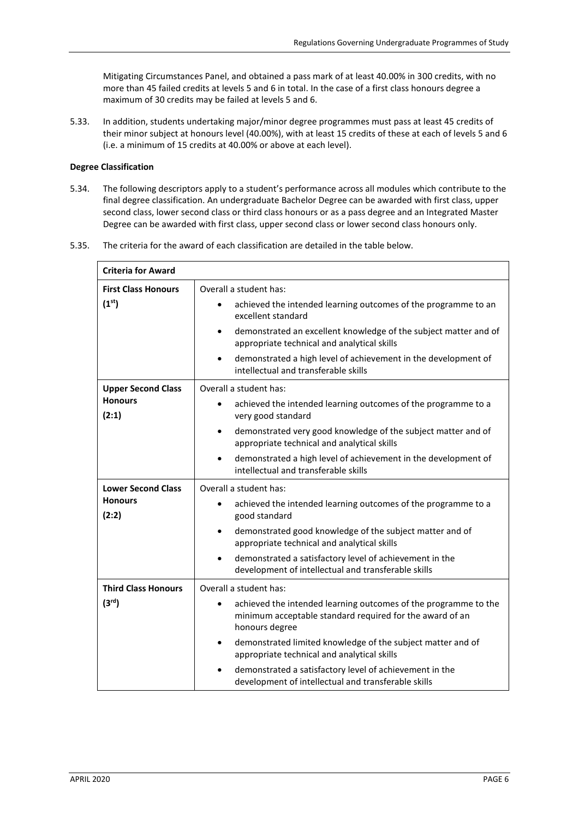Mitigating Circumstances Panel, and obtained a pass mark of at least 40.00% in 300 credits, with no more than 45 failed credits at levels 5 and 6 in total. In the case of a first class honours degree a maximum of 30 credits may be failed at levels 5 and 6.

5.33. In addition, students undertaking major/minor degree programmes must pass at least 45 credits of their minor subject at honours level (40.00%), with at least 15 credits of these at each of levels 5 and 6 (i.e. a minimum of 15 credits at 40.00% or above at each level).

### **Degree Classification**

- 5.34. The following descriptors apply to a student's performance across all modules which contribute to the final degree classification. An undergraduate Bachelor Degree can be awarded with first class, upper second class, lower second class or third class honours or as a pass degree and an Integrated Master Degree can be awarded with first class, upper second class or lower second class honours only.
- 5.35. The criteria for the award of each classification are detailed in the table below.

| <b>Criteria for Award</b>                            |                                                                                                                                                                                                                                                                                                                                                                                                                      |
|------------------------------------------------------|----------------------------------------------------------------------------------------------------------------------------------------------------------------------------------------------------------------------------------------------------------------------------------------------------------------------------------------------------------------------------------------------------------------------|
| <b>First Class Honours</b><br>(1 <sup>st</sup> )     | Overall a student has:<br>achieved the intended learning outcomes of the programme to an<br>excellent standard<br>demonstrated an excellent knowledge of the subject matter and of<br>$\bullet$<br>appropriate technical and analytical skills<br>demonstrated a high level of achievement in the development of<br>$\bullet$<br>intellectual and transferable skills                                                |
| <b>Upper Second Class</b><br><b>Honours</b><br>(2:1) | Overall a student has:<br>achieved the intended learning outcomes of the programme to a<br>$\bullet$<br>very good standard<br>demonstrated very good knowledge of the subject matter and of<br>$\bullet$<br>appropriate technical and analytical skills<br>demonstrated a high level of achievement in the development of<br>intellectual and transferable skills                                                    |
| <b>Lower Second Class</b><br><b>Honours</b><br>(2:2) | Overall a student has:<br>achieved the intended learning outcomes of the programme to a<br>$\bullet$<br>good standard<br>demonstrated good knowledge of the subject matter and of<br>appropriate technical and analytical skills<br>demonstrated a satisfactory level of achievement in the<br>development of intellectual and transferable skills                                                                   |
| <b>Third Class Honours</b><br>(3 <sup>rd</sup> )     | Overall a student has:<br>achieved the intended learning outcomes of the programme to the<br>minimum acceptable standard required for the award of an<br>honours degree<br>demonstrated limited knowledge of the subject matter and of<br>$\bullet$<br>appropriate technical and analytical skills<br>demonstrated a satisfactory level of achievement in the<br>development of intellectual and transferable skills |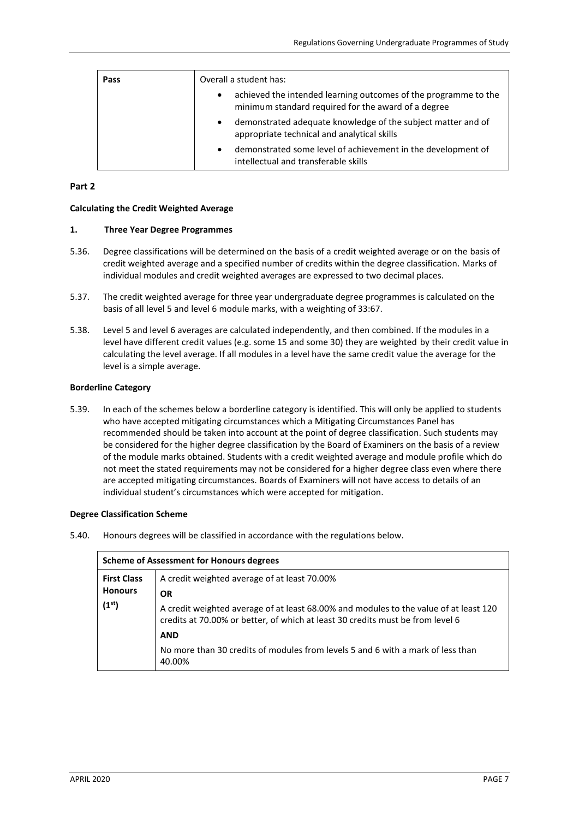| Pass | Overall a student has:                                                                                                              |
|------|-------------------------------------------------------------------------------------------------------------------------------------|
|      | achieved the intended learning outcomes of the programme to the<br>$\bullet$<br>minimum standard required for the award of a degree |
|      | demonstrated adequate knowledge of the subject matter and of<br>$\bullet$<br>appropriate technical and analytical skills            |
|      | demonstrated some level of achievement in the development of<br>$\bullet$<br>intellectual and transferable skills                   |

# **Part 2**

## **Calculating the Credit Weighted Average**

## **1. Three Year Degree Programmes**

- 5.36. Degree classifications will be determined on the basis of a credit weighted average or on the basis of credit weighted average and a specified number of credits within the degree classification. Marks of individual modules and credit weighted averages are expressed to two decimal places.
- 5.37. The credit weighted average for three year undergraduate degree programmes is calculated on the basis of all level 5 and level 6 module marks, with a weighting of 33:67.
- 5.38. Level 5 and level 6 averages are calculated independently, and then combined. If the modules in a level have different credit values (e.g. some 15 and some 30) they are weighted by their credit value in calculating the level average. If all modules in a level have the same credit value the average for the level is a simple average.

## **Borderline Category**

5.39. In each of the schemes below a borderline category is identified. This will only be applied to students who have accepted mitigating circumstances which a Mitigating Circumstances Panel has recommended should be taken into account at the point of degree classification. Such students may be considered for the higher degree classification by the Board of Examiners on the basis of a review of the module marks obtained. Students with a credit weighted average and module profile which do not meet the stated requirements may not be considered for a higher degree class even where there are accepted mitigating circumstances. Boards of Examiners will not have access to details of an individual student's circumstances which were accepted for mitigation.

#### **Degree Classification Scheme**

5.40. Honours degrees will be classified in accordance with the regulations below.

| <b>Scheme of Assessment for Honours degrees</b> |                                                                                                                                                                         |  |
|-------------------------------------------------|-------------------------------------------------------------------------------------------------------------------------------------------------------------------------|--|
| <b>First Class</b><br><b>Honours</b>            | A credit weighted average of at least 70.00%<br><b>OR</b>                                                                                                               |  |
| (1 <sup>st</sup> )                              | A credit weighted average of at least 68.00% and modules to the value of at least 120<br>credits at 70.00% or better, of which at least 30 credits must be from level 6 |  |
|                                                 | <b>AND</b>                                                                                                                                                              |  |
|                                                 | No more than 30 credits of modules from levels 5 and 6 with a mark of less than<br>40.00%                                                                               |  |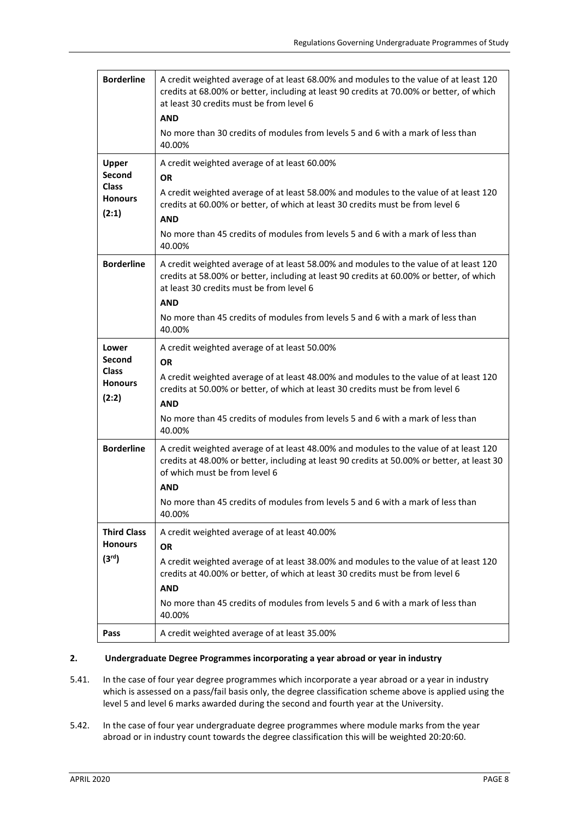| <b>Borderline</b>                                                        | A credit weighted average of at least 68.00% and modules to the value of at least 120<br>credits at 68.00% or better, including at least 90 credits at 70.00% or better, of which<br>at least 30 credits must be from level 6<br><b>AND</b><br>No more than 30 credits of modules from levels 5 and 6 with a mark of less than<br>40.00%        |
|--------------------------------------------------------------------------|-------------------------------------------------------------------------------------------------------------------------------------------------------------------------------------------------------------------------------------------------------------------------------------------------------------------------------------------------|
| <b>Upper</b><br><b>Second</b><br><b>Class</b><br><b>Honours</b><br>(2:1) | A credit weighted average of at least 60.00%<br><b>OR</b><br>A credit weighted average of at least 58.00% and modules to the value of at least 120<br>credits at 60.00% or better, of which at least 30 credits must be from level 6<br><b>AND</b><br>No more than 45 credits of modules from levels 5 and 6 with a mark of less than<br>40.00% |
| <b>Borderline</b>                                                        | A credit weighted average of at least 58.00% and modules to the value of at least 120<br>credits at 58.00% or better, including at least 90 credits at 60.00% or better, of which<br>at least 30 credits must be from level 6<br><b>AND</b><br>No more than 45 credits of modules from levels 5 and 6 with a mark of less than<br>40.00%        |
| Lower<br><b>Second</b><br><b>Class</b><br><b>Honours</b><br>(2:2)        | A credit weighted average of at least 50.00%<br><b>OR</b><br>A credit weighted average of at least 48.00% and modules to the value of at least 120<br>credits at 50.00% or better, of which at least 30 credits must be from level 6<br><b>AND</b><br>No more than 45 credits of modules from levels 5 and 6 with a mark of less than<br>40.00% |
| <b>Borderline</b>                                                        | A credit weighted average of at least 48.00% and modules to the value of at least 120<br>credits at 48.00% or better, including at least 90 credits at 50.00% or better, at least 30<br>of which must be from level 6<br><b>AND</b><br>No more than 45 credits of modules from levels 5 and 6 with a mark of less than<br>40.00%                |
| <b>Third Class</b><br><b>Honours</b><br>(3 <sup>rd</sup> )               | A credit weighted average of at least 40.00%<br><b>OR</b><br>A credit weighted average of at least 38.00% and modules to the value of at least 120<br>credits at 40.00% or better, of which at least 30 credits must be from level 6<br><b>AND</b><br>No more than 45 credits of modules from levels 5 and 6 with a mark of less than<br>40.00% |
| Pass                                                                     | A credit weighted average of at least 35.00%                                                                                                                                                                                                                                                                                                    |

### **2. Undergraduate Degree Programmes incorporating a year abroad or year in industry**

- 5.41. In the case of four year degree programmes which incorporate a year abroad or a year in industry which is assessed on a pass/fail basis only, the degree classification scheme above is applied using the level 5 and level 6 marks awarded during the second and fourth year at the University.
- 5.42. In the case of four year undergraduate degree programmes where module marks from the year abroad or in industry count towards the degree classification this will be weighted 20:20:60.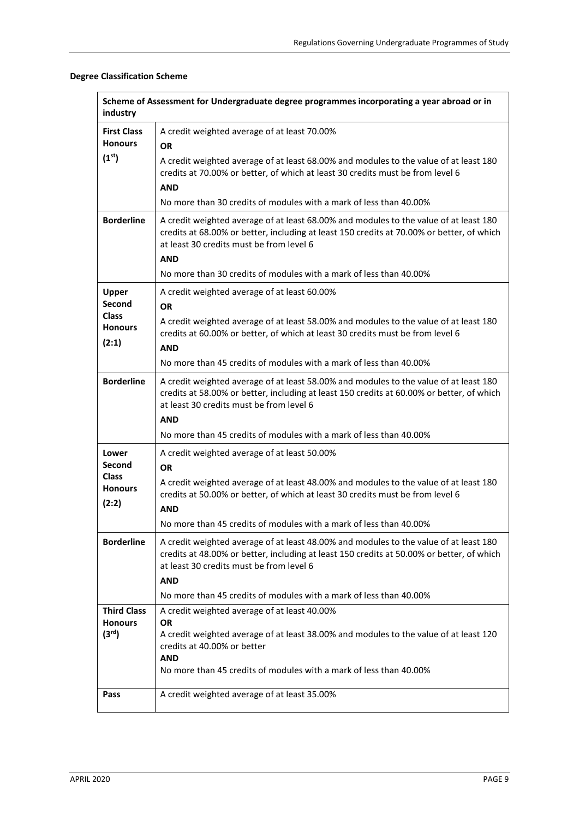# **Degree Classification Scheme**

| Scheme of Assessment for Undergraduate degree programmes incorporating a year abroad or in<br>industry |                                                                                                                                                                                                                                                                                                                    |  |
|--------------------------------------------------------------------------------------------------------|--------------------------------------------------------------------------------------------------------------------------------------------------------------------------------------------------------------------------------------------------------------------------------------------------------------------|--|
| <b>First Class</b><br><b>Honours</b>                                                                   | A credit weighted average of at least 70.00%<br><b>OR</b>                                                                                                                                                                                                                                                          |  |
| (1 <sup>st</sup> )                                                                                     | A credit weighted average of at least 68.00% and modules to the value of at least 180<br>credits at 70.00% or better, of which at least 30 credits must be from level 6<br><b>AND</b><br>No more than 30 credits of modules with a mark of less than 40,00%                                                        |  |
| <b>Borderline</b>                                                                                      | A credit weighted average of at least 68.00% and modules to the value of at least 180<br>credits at 68.00% or better, including at least 150 credits at 70.00% or better, of which<br>at least 30 credits must be from level 6<br><b>AND</b><br>No more than 30 credits of modules with a mark of less than 40.00% |  |
| <b>Upper</b><br>Second<br><b>Class</b><br><b>Honours</b><br>(2:1)                                      | A credit weighted average of at least 60.00%<br><b>OR</b><br>A credit weighted average of at least 58.00% and modules to the value of at least 180<br>credits at 60.00% or better, of which at least 30 credits must be from level 6<br><b>AND</b>                                                                 |  |
|                                                                                                        | No more than 45 credits of modules with a mark of less than 40.00%                                                                                                                                                                                                                                                 |  |
| <b>Borderline</b>                                                                                      | A credit weighted average of at least 58.00% and modules to the value of at least 180<br>credits at 58.00% or better, including at least 150 credits at 60.00% or better, of which<br>at least 30 credits must be from level 6<br><b>AND</b><br>No more than 45 credits of modules with a mark of less than 40.00% |  |
| Lower                                                                                                  |                                                                                                                                                                                                                                                                                                                    |  |
| <b>Second</b>                                                                                          | A credit weighted average of at least 50.00%<br><b>OR</b>                                                                                                                                                                                                                                                          |  |
| <b>Class</b><br><b>Honours</b><br>(2:2)                                                                | A credit weighted average of at least 48.00% and modules to the value of at least 180<br>credits at 50.00% or better, of which at least 30 credits must be from level 6<br><b>AND</b>                                                                                                                              |  |
|                                                                                                        | No more than 45 credits of modules with a mark of less than 40.00%                                                                                                                                                                                                                                                 |  |
| <b>Borderline</b>                                                                                      | A credit weighted average of at least 48.00% and modules to the value of at least 180<br>credits at 48.00% or better, including at least 150 credits at 50.00% or better, of which<br>at least 30 credits must be from level 6<br><b>AND</b>                                                                       |  |
|                                                                                                        | No more than 45 credits of modules with a mark of less than 40.00%                                                                                                                                                                                                                                                 |  |
| <b>Third Class</b><br><b>Honours</b><br>(3 <sup>rd</sup> )                                             | A credit weighted average of at least 40.00%<br>OR<br>A credit weighted average of at least 38.00% and modules to the value of at least 120<br>credits at 40.00% or better<br>AND<br>No more than 45 credits of modules with a mark of less than 40,00%                                                            |  |
| Pass                                                                                                   | A credit weighted average of at least 35.00%                                                                                                                                                                                                                                                                       |  |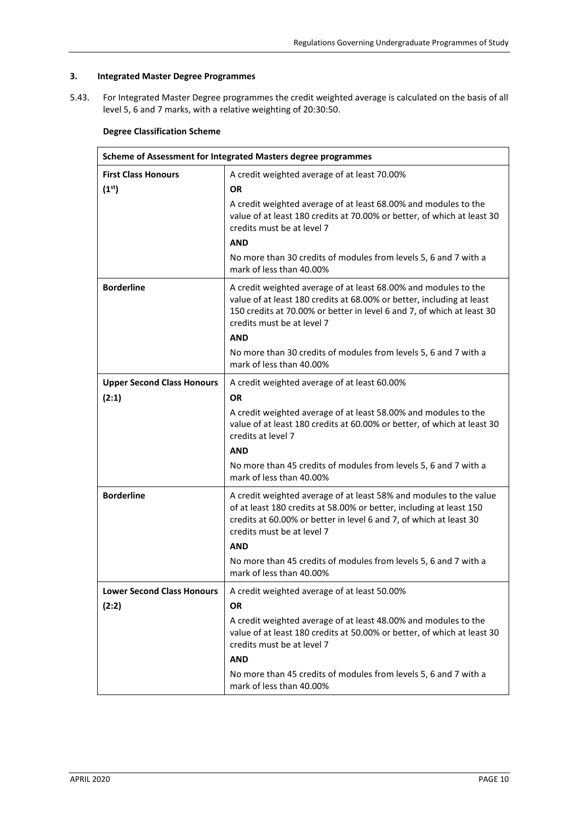# **3. Integrated Master Degree Programmes**

5.43. For Integrated Master Degree programmes the credit weighted average is calculated on the basis of all level 5, 6 and 7 marks, with a relative weighting of 20:30:50.

# **Degree Classification Scheme**

| Scheme of Assessment for Integrated Masters degree programmes |                                                                                                                                                                                                                                                                |  |
|---------------------------------------------------------------|----------------------------------------------------------------------------------------------------------------------------------------------------------------------------------------------------------------------------------------------------------------|--|
| <b>First Class Honours</b>                                    | A credit weighted average of at least 70.00%                                                                                                                                                                                                                   |  |
| (1 <sup>st</sup> )                                            | 0R                                                                                                                                                                                                                                                             |  |
|                                                               | A credit weighted average of at least 68.00% and modules to the<br>value of at least 180 credits at 70.00% or better, of which at least 30<br>credits must be at level 7<br><b>AND</b>                                                                         |  |
|                                                               | No more than 30 credits of modules from levels 5, 6 and 7 with a<br>mark of less than 40.00%                                                                                                                                                                   |  |
| <b>Borderline</b>                                             | A credit weighted average of at least 68.00% and modules to the<br>value of at least 180 credits at 68.00% or better, including at least<br>150 credits at 70.00% or better in level 6 and 7, of which at least 30<br>credits must be at level 7<br><b>AND</b> |  |
|                                                               | No more than 30 credits of modules from levels 5, 6 and 7 with a<br>mark of less than 40.00%                                                                                                                                                                   |  |
| <b>Upper Second Class Honours</b>                             | A credit weighted average of at least 60.00%                                                                                                                                                                                                                   |  |
| (2:1)                                                         | <b>OR</b>                                                                                                                                                                                                                                                      |  |
|                                                               | A credit weighted average of at least 58.00% and modules to the<br>value of at least 180 credits at 60.00% or better, of which at least 30<br>credits at level 7                                                                                               |  |
|                                                               | <b>AND</b>                                                                                                                                                                                                                                                     |  |
|                                                               | No more than 45 credits of modules from levels 5, 6 and 7 with a<br>mark of less than 40.00%                                                                                                                                                                   |  |
| <b>Borderline</b>                                             | A credit weighted average of at least 58% and modules to the value<br>of at least 180 credits at 58.00% or better, including at least 150<br>credits at 60.00% or better in level 6 and 7, of which at least 30<br>credits must be at level 7<br><b>AND</b>    |  |
|                                                               | No more than 45 credits of modules from levels 5, 6 and 7 with a<br>mark of less than 40.00%                                                                                                                                                                   |  |
| <b>Lower Second Class Honours</b>                             | A credit weighted average of at least 50.00%                                                                                                                                                                                                                   |  |
| (2:2)                                                         | <b>OR</b>                                                                                                                                                                                                                                                      |  |
|                                                               | A credit weighted average of at least 48.00% and modules to the<br>value of at least 180 credits at 50.00% or better, of which at least 30<br>credits must be at level 7                                                                                       |  |
|                                                               | <b>AND</b>                                                                                                                                                                                                                                                     |  |
|                                                               | No more than 45 credits of modules from levels 5, 6 and 7 with a<br>mark of less than 40.00%                                                                                                                                                                   |  |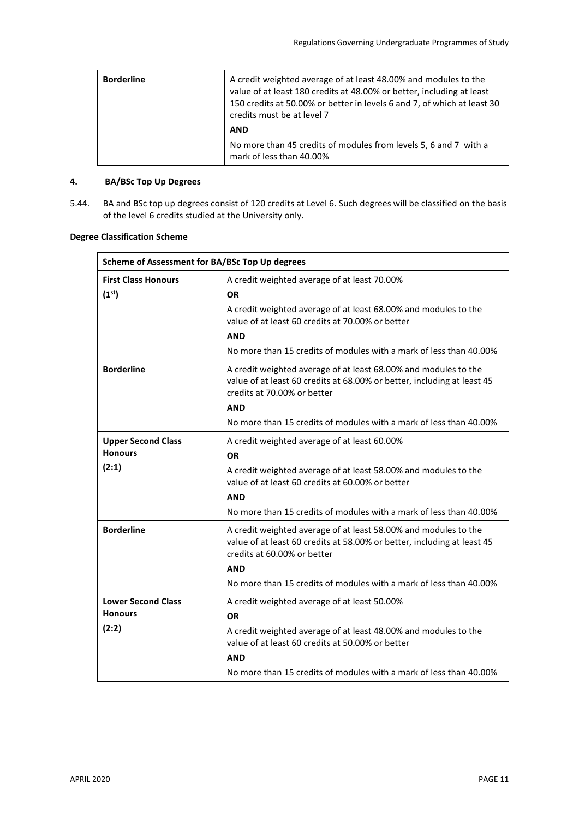| <b>Borderline</b> | A credit weighted average of at least 48.00% and modules to the<br>value of at least 180 credits at 48.00% or better, including at least<br>150 credits at 50.00% or better in levels 6 and 7, of which at least 30<br>credits must be at level 7 |
|-------------------|---------------------------------------------------------------------------------------------------------------------------------------------------------------------------------------------------------------------------------------------------|
|                   | <b>AND</b>                                                                                                                                                                                                                                        |
|                   | No more than 45 credits of modules from levels 5, 6 and 7 with a<br>mark of less than 40.00%                                                                                                                                                      |

# **4. BA/BSc Top Up Degrees**

5.44. BA and BSc top up degrees consist of 120 credits at Level 6. Such degrees will be classified on the basis of the level 6 credits studied at the University only.

| Scheme of Assessment for BA/BSc Top Up degrees   |                                                                                                                                                                           |
|--------------------------------------------------|---------------------------------------------------------------------------------------------------------------------------------------------------------------------------|
| <b>First Class Honours</b><br>(1 <sup>st</sup> ) | A credit weighted average of at least 70.00%<br><b>OR</b>                                                                                                                 |
|                                                  | A credit weighted average of at least 68.00% and modules to the<br>value of at least 60 credits at 70,00% or better                                                       |
|                                                  | <b>AND</b>                                                                                                                                                                |
|                                                  | No more than 15 credits of modules with a mark of less than 40.00%                                                                                                        |
| <b>Borderline</b>                                | A credit weighted average of at least 68.00% and modules to the<br>value of at least 60 credits at 68.00% or better, including at least 45<br>credits at 70.00% or better |
|                                                  | <b>AND</b>                                                                                                                                                                |
|                                                  | No more than 15 credits of modules with a mark of less than 40.00%                                                                                                        |
| <b>Upper Second Class</b><br><b>Honours</b>      | A credit weighted average of at least 60.00%<br><b>OR</b>                                                                                                                 |
| (2:1)                                            | A credit weighted average of at least 58.00% and modules to the<br>value of at least 60 credits at 60.00% or better                                                       |
|                                                  | <b>AND</b>                                                                                                                                                                |
|                                                  | No more than 15 credits of modules with a mark of less than 40.00%                                                                                                        |
| <b>Borderline</b>                                | A credit weighted average of at least 58.00% and modules to the<br>value of at least 60 credits at 58.00% or better, including at least 45<br>credits at 60.00% or better |
|                                                  | <b>AND</b>                                                                                                                                                                |
|                                                  | No more than 15 credits of modules with a mark of less than 40.00%                                                                                                        |
| <b>Lower Second Class</b>                        | A credit weighted average of at least 50.00%                                                                                                                              |

### **Degree Classification Scheme**

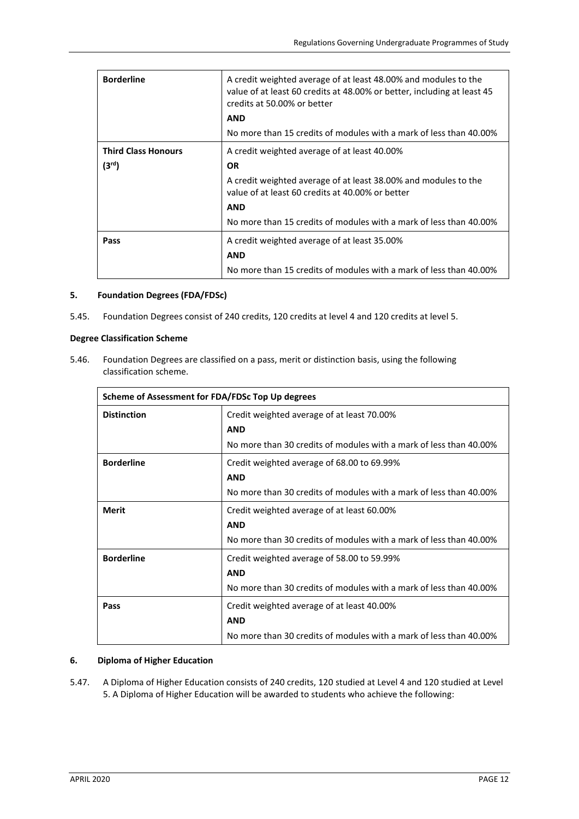| <b>Borderline</b>          | A credit weighted average of at least 48.00% and modules to the<br>value of at least 60 credits at 48.00% or better, including at least 45<br>credits at 50.00% or better |
|----------------------------|---------------------------------------------------------------------------------------------------------------------------------------------------------------------------|
|                            | <b>AND</b>                                                                                                                                                                |
|                            | No more than 15 credits of modules with a mark of less than 40.00%                                                                                                        |
| <b>Third Class Honours</b> | A credit weighted average of at least 40.00%                                                                                                                              |
| (3 <sup>rd</sup> )         | <b>OR</b>                                                                                                                                                                 |
|                            | A credit weighted average of at least 38.00% and modules to the<br>value of at least 60 credits at 40.00% or better                                                       |
|                            | <b>AND</b>                                                                                                                                                                |
|                            | No more than 15 credits of modules with a mark of less than 40.00%                                                                                                        |
| Pass                       | A credit weighted average of at least 35.00%                                                                                                                              |
|                            | <b>AND</b>                                                                                                                                                                |
|                            | No more than 15 credits of modules with a mark of less than 40.00%                                                                                                        |

# **5. Foundation Degrees (FDA/FDSc)**

5.45. Foundation Degrees consist of 240 credits, 120 credits at level 4 and 120 credits at level 5.

### **Degree Classification Scheme**

5.46. Foundation Degrees are classified on a pass, merit or distinction basis, using the following classification scheme.

| Scheme of Assessment for FDA/FDSc Top Up degrees |                                                                                                                                |
|--------------------------------------------------|--------------------------------------------------------------------------------------------------------------------------------|
| <b>Distinction</b>                               | Credit weighted average of at least 70.00%<br><b>AND</b><br>No more than 30 credits of modules with a mark of less than 40,00% |
| <b>Borderline</b>                                | Credit weighted average of 68.00 to 69.99%<br><b>AND</b><br>No more than 30 credits of modules with a mark of less than 40.00% |
| Merit                                            | Credit weighted average of at least 60.00%<br><b>AND</b><br>No more than 30 credits of modules with a mark of less than 40,00% |
| <b>Borderline</b>                                | Credit weighted average of 58.00 to 59.99%<br><b>AND</b><br>No more than 30 credits of modules with a mark of less than 40.00% |
| Pass                                             | Credit weighted average of at least 40.00%<br><b>AND</b><br>No more than 30 credits of modules with a mark of less than 40.00% |

## **6. Diploma of Higher Education**

5.47. A Diploma of Higher Education consists of 240 credits, 120 studied at Level 4 and 120 studied at Level 5. A Diploma of Higher Education will be awarded to students who achieve the following: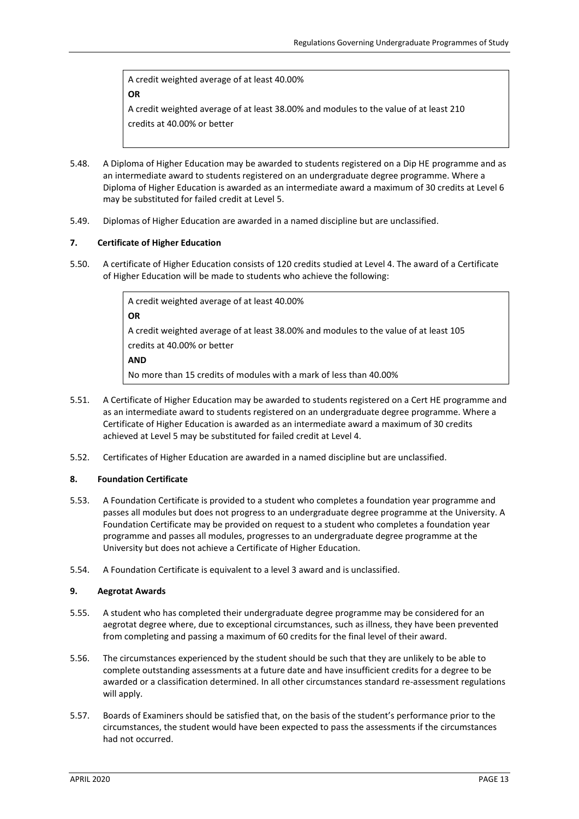A credit weighted average of at least 40.00%

**OR**

A credit weighted average of at least 38.00% and modules to the value of at least 210 credits at 40.00% or better

- 5.48. A Diploma of Higher Education may be awarded to students registered on a Dip HE programme and as an intermediate award to students registered on an undergraduate degree programme. Where a Diploma of Higher Education is awarded as an intermediate award a maximum of 30 credits at Level 6 may be substituted for failed credit at Level 5.
- 5.49. Diplomas of Higher Education are awarded in a named discipline but are unclassified.

## **7. Certificate of Higher Education**

5.50. A certificate of Higher Education consists of 120 credits studied at Level 4. The award of a Certificate of Higher Education will be made to students who achieve the following:

> A credit weighted average of at least 40.00% **OR** A credit weighted average of at least 38.00% and modules to the value of at least 105 credits at 40.00% or better **AND** No more than 15 credits of modules with a mark of less than 40.00%

- 5.51. A Certificate of Higher Education may be awarded to students registered on a Cert HE programme and as an intermediate award to students registered on an undergraduate degree programme. Where a Certificate of Higher Education is awarded as an intermediate award a maximum of 30 credits achieved at Level 5 may be substituted for failed credit at Level 4.
- 5.52. Certificates of Higher Education are awarded in a named discipline but are unclassified.

## **8. Foundation Certificate**

- 5.53. A Foundation Certificate is provided to a student who completes a foundation year programme and passes all modules but does not progress to an undergraduate degree programme at the University. A Foundation Certificate may be provided on request to a student who completes a foundation year programme and passes all modules, progresses to an undergraduate degree programme at the University but does not achieve a Certificate of Higher Education.
- 5.54. A Foundation Certificate is equivalent to a level 3 award and is unclassified.

## **9. Aegrotat Awards**

- 5.55. A student who has completed their undergraduate degree programme may be considered for an aegrotat degree where, due to exceptional circumstances, such as illness, they have been prevented from completing and passing a maximum of 60 credits for the final level of their award.
- 5.56. The circumstances experienced by the student should be such that they are unlikely to be able to complete outstanding assessments at a future date and have insufficient credits for a degree to be awarded or a classification determined. In all other circumstances standard re-assessment regulations will apply.
- 5.57. Boards of Examiners should be satisfied that, on the basis of the student's performance prior to the circumstances, the student would have been expected to pass the assessments if the circumstances had not occurred.